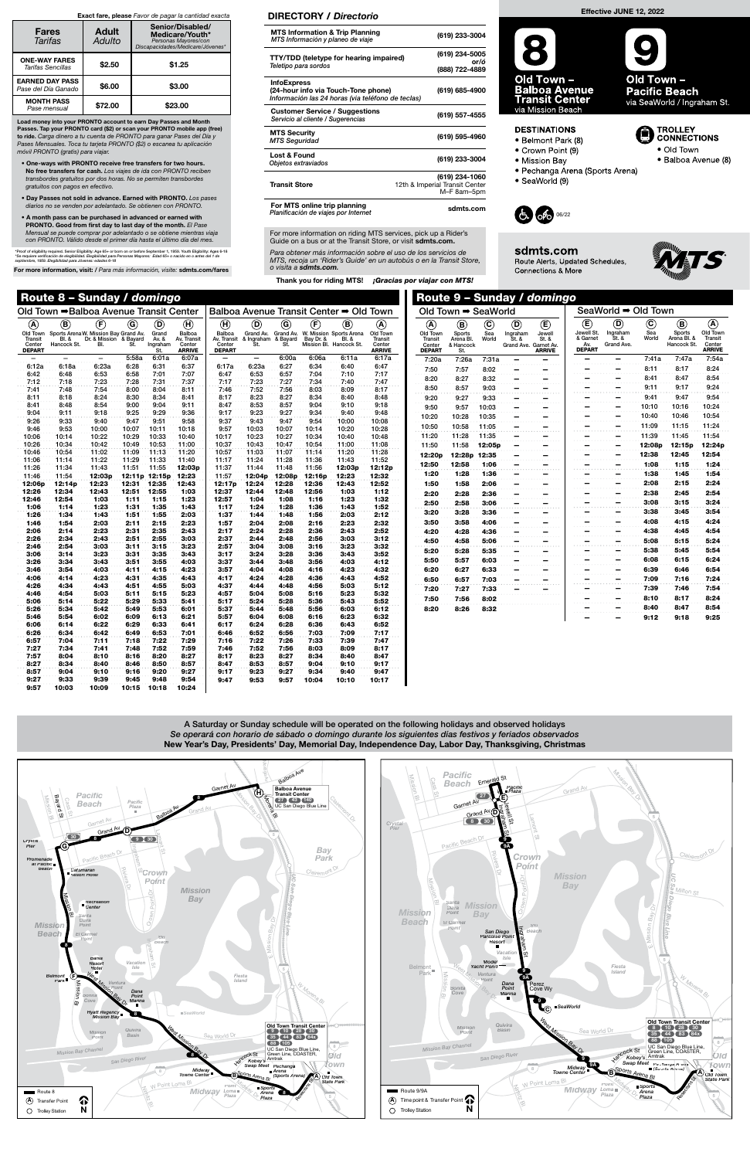11:06 11:14 11:22 11:29 11:33 11:40 11:26 11:34 11:43 11:51 11:55 12:03p 11:46 11:54 12:03p 12:11p 12:15p 12:23 12:06p 12:14p 12:23 12:31 12:35 12:43 12:26 12:34 12:43 12:51 12:55 1:03 12:46 12:54 1:03 1:11 1:15 1:23 1:06 1:14 1:23 1:31 1:35 1:43 1:26 1:34 1:43 1:51 1:55 2:03 1:46 1:54 2:03 2:11 2:15 2:23 2:06 2:14 2:23 2:31 2:35 2:43 2:26 2:34 2:43 2:51 2:55 3:03 2:46 2:54 3:03 3:11 3:15 3:23 3:06 3:14 3:23 3:31 3:35 3:43 3:26 3:34 3:43 3:51 3:55 4:03 3:46 3:54 4:03 4:11 4:15 4:23 4:06 4:14 4:23 4:31 4:35 4:43 4:26 4:34 4:43 4:51 4:55 5:03 4:46 4:54 5:03 5:11 5:15 5:23 5:06 5:14 5:22 5:29 5:33 5:41 5:26 5:34 5:42 5:49 5:53 6:01 5:46 5:54 6:02 6:09 6:13 6:21 6:06 6:14 6:22 6:29 6:33 6:41 6:26 6:34 6:42 6:49 6:53 7:01 6:57 7:04 7:11 7:18 7:22 7:29 7:27 7:34 7:41 7:48 7:52 7:59 7:57 8:04 8:10 8:16 8:20 8:27 8:27 8:34 8:40 8:46 8:50 8:57 8:57 9:04 9:10 9:16 9:20 9:27 9:27 9:33 9:39 9:45 9:48 9:54 9:57 10:03 10:09 10:15 10:18 10:24

|                                                |                                | Old Town ➡ Balboa Avenue Transit Center                                |       |                                   |                                                  |                                                  |                                |                              |           | Balboa Avenue Transit Center ➡ Old Town                               |                                                |
|------------------------------------------------|--------------------------------|------------------------------------------------------------------------|-------|-----------------------------------|--------------------------------------------------|--------------------------------------------------|--------------------------------|------------------------------|-----------|-----------------------------------------------------------------------|------------------------------------------------|
| $\left( {\bf{A}} \right)$                      | $\bf{(B)}$                     | F)                                                                     | G)    | D)                                | $\bf (H)$                                        | (H)                                              | d)                             | G)                           | F.        | B)                                                                    | A)                                             |
| Old Town<br>Transit<br>Center<br><b>DEPART</b> | <b>BI.&amp;</b><br>Hancock St. | Sports Arena W. Mission Bay Grand Av.<br>Dr. & Mission & Bayard<br>BI. | St.   | Grand<br>Av. &<br>Ingraham<br>St. | Balboa<br>Av. Transit<br>Center<br><b>ARRIVE</b> | Balboa<br>Av. Transit<br>Center<br><b>DEPART</b> | Grand Av.<br>& Ingraham<br>St. | Grand Av.<br>& Bayard<br>St. | Bay Dr. & | W. Mission Sports Arena<br><b>BI.&amp;</b><br>Mission Bl. Hancock St. | Old Town<br>Transit<br>Center<br><b>ARRIVE</b> |
|                                                |                                |                                                                        | 5:58a | 6:01a                             | 6:07a                                            |                                                  |                                | 6:00a                        | 6:06a     | 6:11a                                                                 | 6:17a                                          |
| 6:12a                                          | 6:18a                          | 6:23a                                                                  | 6:28  | 6:31                              | 6:37                                             | 6:17a                                            | 6:23a                          | 6:27                         | 6:34      | 6:40                                                                  | 6:47                                           |
| 6:42                                           | 6:48                           | 6:53                                                                   | 6:58  | 7:01                              | 7:07                                             | 6:47                                             | 6:53                           | 6:57                         | 7:04      | 7:10                                                                  | 7:17                                           |
| 7:12                                           | 7:18                           | 7:23                                                                   | 7:28  | 7:31                              | 7:37                                             | 7:17                                             | 7:23                           | 7:27                         | 7:34      | 7:40                                                                  | 7:47                                           |
| 7:41                                           | 7:48                           | 7:54                                                                   | 8:00  | 8:04                              | 8:11                                             | 7:46                                             | 7:52                           | 7:56                         | 8:03      | 8:09                                                                  | 8:17                                           |
| 8:11                                           | 8:18                           | 8:24                                                                   | 8:30  | 8:34                              | 8:41                                             | 8:17                                             | 8:23                           | 8:27                         | 8:34      | 8:40                                                                  | 8:48                                           |
| 8:41                                           | 8:48                           | 8:54                                                                   | 9:00  | 9:04                              | 9:11                                             | 8:47                                             | 8:53                           | 8:57                         | 9:04      | 9:10                                                                  | 9:18                                           |
| 9:04                                           | 9:11                           | 9:18                                                                   | 9:25  | 9:29                              | 9:36                                             | 9:17                                             | 9:23                           | 9:27                         | 9:34      | 9:40                                                                  | 9:48                                           |
| 9:26                                           | 9:33                           | 9:40                                                                   | 9:47  | 9:51                              | 9:58                                             | 9:37                                             | 9:43                           | 9:47                         | 9:54      | 10:00                                                                 | 10:08                                          |
| 9:46                                           | 9:53                           | 10:00                                                                  | 10:07 | 10:11                             | 10:18                                            | 9:57                                             | 10:03                          | 10:07                        | 10:14     | 10:20                                                                 | 10:28                                          |
| 10:06                                          | 10:14                          | 10:22                                                                  | 10:29 | 10:33                             | 10:40                                            | 10:17                                            | 10:23                          | 10:27                        | 10:34     | 10:40                                                                 | 10:48                                          |
| 10:26                                          | 10:34                          | 10:42                                                                  | 10:49 | 10:53                             | 11:00                                            | 10:37                                            | 10:43                          | 10:47                        | 10:54     | 11:00                                                                 | 11:08                                          |
| 10:46                                          | 10:54                          | 11:02                                                                  | 11:09 | 11:13                             | 11:20                                            | 10:57                                            | 11:03                          | 11:07                        | 11:14     | 11:20                                                                 | 11:28                                          |
| 11:06                                          | 11:14                          | 11:22                                                                  | 11:29 | 11:33                             | 11:40                                            | 11:17                                            | 11:24                          | 11:28                        | 11:36     | 11:43                                                                 | 11:52                                          |

|                                                            | Old Town ➡ SeaWorld                          |                               |                                                  |                                        |                                                      | SeaWorld ➡ Old Town                             |                              |                                           |                                                             |
|------------------------------------------------------------|----------------------------------------------|-------------------------------|--------------------------------------------------|----------------------------------------|------------------------------------------------------|-------------------------------------------------|------------------------------|-------------------------------------------|-------------------------------------------------------------|
| ®<br>Old Town<br><b>Transit</b><br>Center<br><b>DEPART</b> | ®<br>Sports<br>Arena Bl.<br>& Hancock<br>St. | $^\copyright$<br>Sea<br>World | O)<br>Ingraham<br>St. &<br>Grand Ave. Garnet Av. | (E<br>Jewell<br>St. &<br><b>ARRIVE</b> | E)<br>Jewell St.<br>& Garnet<br>Av.<br><b>DEPART</b> | $\mathbf{D}$<br>Ingraham<br>St. &<br>Grand Ave. | $\copyright$<br>Sea<br>World | ®<br>Sports<br>Arena Bl. &<br>Hancock St. | A)<br>Old Town<br><b>Transit</b><br>Center<br><b>ARRIVE</b> |
| 7:20a                                                      | 7:26a                                        | 7:31a                         |                                                  |                                        |                                                      |                                                 | 7:41a                        | 7:47a                                     | 7:54a                                                       |
| 7:50                                                       | 7:57                                         | 8:02                          |                                                  |                                        |                                                      |                                                 | 8:11                         | 8:17                                      | 8:24                                                        |
| 8:20                                                       | 8:27                                         | 8:32                          |                                                  |                                        |                                                      |                                                 | 8:41                         | 8:47                                      | 8:54                                                        |
| 8:50                                                       | 8:57                                         | 9:03                          |                                                  |                                        |                                                      |                                                 | 9:11                         | 9:17                                      | 9:24                                                        |
| 9:20                                                       | 9:27                                         | 9:33                          |                                                  |                                        |                                                      |                                                 | 9:41                         | 9:47                                      | 9:54                                                        |
| 9:50                                                       | 9:57                                         | 10:03                         |                                                  |                                        |                                                      |                                                 | 10:10                        | 10:16                                     | 10:24                                                       |
| 10:20                                                      | 10:28                                        | 10:35                         |                                                  |                                        |                                                      |                                                 | 10:40                        | 10:46                                     | 10:54                                                       |
| 10:50                                                      | 10:58                                        | 11:05                         |                                                  |                                        |                                                      |                                                 | 11:09                        | 11:15                                     | 11:24                                                       |
| 11:20                                                      | 11:28                                        | 11:35                         |                                                  |                                        |                                                      |                                                 | 11:39                        | 11:45                                     | 11:54                                                       |
| 11:50                                                      | 11:58                                        | 12:05p                        |                                                  |                                        |                                                      |                                                 | 12:08p                       | 12:15 <sub>p</sub>                        | 12:24p                                                      |
| 12:20p                                                     | 12:28p 12:35                                 |                               |                                                  |                                        |                                                      |                                                 | 12:38                        | 12:45                                     | 12:54                                                       |
| 12:50                                                      | 12:58                                        | 1:06                          |                                                  |                                        |                                                      |                                                 | 1:08                         | 1:15                                      | 1:24                                                        |
| 1:20                                                       | 1:28                                         | 1:36                          |                                                  |                                        |                                                      |                                                 | 1:38                         | 1:45                                      | 1:54                                                        |
| 1:50                                                       | 1:58                                         | 2:06                          |                                                  |                                        |                                                      |                                                 | 2:08                         | 2:15                                      | 2:24                                                        |
| 2:20                                                       | 2:28                                         | 2:36                          |                                                  |                                        |                                                      |                                                 | 2:38                         | 2:45                                      | 2:54                                                        |
| 2:50                                                       | 2:58                                         | 3:06                          |                                                  |                                        |                                                      |                                                 | 3:08                         | 3:15                                      | 3:24                                                        |
| 3:20                                                       | 3:28                                         | 3:36                          |                                                  |                                        |                                                      |                                                 | 3:38                         | 3:45                                      | 3:54                                                        |
| 3:50                                                       | 3:58                                         | 4:06                          |                                                  |                                        |                                                      |                                                 | 4:08                         | 4:15                                      | 4:24                                                        |
| 4:20                                                       | 4:28                                         | 4:36                          |                                                  |                                        |                                                      |                                                 | 4:38                         | 4:45                                      | 4:54                                                        |
| 4:50                                                       | 4:58                                         | 5:06                          |                                                  |                                        |                                                      |                                                 | 5:08                         | 5:15                                      | 5:24                                                        |
| 5:20                                                       | 5:28                                         | 5:35                          |                                                  |                                        |                                                      |                                                 | 5:38                         | 5:45                                      | 5:54                                                        |
| 5:50                                                       | 5:57                                         | 6:03                          |                                                  |                                        |                                                      |                                                 | 6:08                         | 6:15                                      | 6:24                                                        |
| 6:20                                                       | 6:27                                         | 6:33                          |                                                  |                                        |                                                      |                                                 | 6:39                         | 6:46                                      | 6:54                                                        |
| 6:50                                                       | 6:57                                         | 7:03                          |                                                  |                                        |                                                      |                                                 | 7:09                         | 7:16                                      | 7:24                                                        |
| 7:20                                                       | 7:27                                         | 7:33                          |                                                  |                                        |                                                      |                                                 | 7:39                         | 7:46                                      | 7:54                                                        |
| 7:50                                                       | 7:56                                         | 8:02                          |                                                  |                                        |                                                      |                                                 | 8:10                         | 8:17                                      | 8:24                                                        |
| 8:20                                                       | 8:26                                         | 8:32                          |                                                  |                                        |                                                      |                                                 | 8:40                         | 8:47                                      | 8:54                                                        |
|                                                            |                                              |                               |                                                  |                                        |                                                      |                                                 | 9:12                         | 9:18                                      | 9:25                                                        |

For more information on riding MTS services, pick up a Rider's Guide on a bus or at the Transit Store, or visit sdmts.com.



11:17 11:24 11:28 11:36 11:43 11:52

11:57 12:04p 12:08p 12:16p 12:23 12:32 12:17p 12:24 12:28 12:36 12:43 12:52 12:37 12:44 12:48 12:56 1:03 1:12 12:57 1:04 1:08 1:16 1:23 1:32 1:17 1:24 1:28 1:36 1:43 1:52 1:37 1:44 1:48 1:56 2:03 2:12 1:57 2:04 2:08 2:16 2:23 2:32 2:17 2:24 2:28 2:36 2:43 2:52 2:37 2:44 2:48 2:56 3:03 3:12 2:57 3:04 3:08 3:16 3:23 3:32 3:17 3:24 3:28 3:36 3:43 3:52 3:37 3:44 3:48 3:56 4:03 4:12 3:57 4:04 4:08 4:16 4:23 4:32 4:17 4:24 4:28 4:36 4:43 4:52 4:37 4:44 4:48 4:56 5:03 5:12 4:57 5:04 5:08 5:16 5:23 5:32 5:17 5:24 5:28 5:36 5:43 5:52 5:37 5:44 5:48 5:56 6:03 6:12 5:57 6:04 6:08 6:16 6:23 6:32 6:17 6:24 6:28 6:36 6:43 6:52 6:46 6:52 6:56 7:03 7:09 7:17 7:16 7:22 7:26 7:33 7:39 7:47 7:46 7:52 7:56 8:03 8:09 8:17 8:17 8:23 8:27 8:34 8:40 8:47 8:47 8:53 8:57 9:04 9:10 9:17 9:17 9:23 9:27 9:34 9:40 9:47 9:47 9:53 9:57 10:04 10:10 10:17

11:56 12:03p





**TROLLEY** 

• Old Town

**CONNECTIONS** 

· Balboa Avenue (8)

sdmts.com Route Alerts, Updated Schedules, **Connections & More** 

Load money into your PRONTO account to earn Day Passes and Month Passes. Tap your PRONTO card (\$2) or scan your PRONTO mobile app (free)<br>to ride. Carga dinero a tu cuenta de PRONTO para ganar Pases del Día y Pases Mensuales. Toca tu tarjeta PRONTO (\$2) o escanea tu aplicación móvil PRONTO (gratis) para viajar.

- One-ways with PRONTO receive free transfers for two hours. No free transfers for cash. Los viajes de ida con PRONTO reciben transbordes gratuitos por dos horas. No se permiten transbordes gratuitos con pagos en efectivo.
- Day Passes not sold in advance. Earned with PRONTO. Los pases diarios no se venden por adelantado. Se obtienen con PRONTO.
- A month pass can be purchased in advanced or earned with PRONTO. Good from first day to last day of the month. El Pase nsual se puede comprar por adelantado o se obtiene mientras viaja con PRONTO. Válido desde el primer día hasta el último día del mes.

\*Proof of eligibility required. Senior Eligibility: Age 65+ or born on or before September 1, 1959. Youth Eligibility: Ages 6-18<br>\*Se requiere verificación de elegibilidad. Elegibilidad para Personas Mayores: Edad 65+ o nac

For more information, visit: / Para más información, visite: sdmts.com/fares

## Exact fare, please Favor de pagar la cantidad exacta

| <b>Fares</b><br>Tarifas                          | <b>Adult</b><br>Adulto | Senior/Disabled/<br>Medicare/Youth*<br>Personas Mayores/con<br>Discapacidades/Medicare/Jóvenes* |
|--------------------------------------------------|------------------------|-------------------------------------------------------------------------------------------------|
| <b>ONE-WAY FARES</b><br><b>Tarifas Sencillas</b> | \$2.50                 | \$1.25                                                                                          |
| <b>EARNED DAY PASS</b><br>Pase del Día Ganado    | \$6.00                 | \$3.00                                                                                          |
| <b>MONTH PASS</b><br>Pase mensual                | \$72.00                | \$23.00                                                                                         |

Para obtener más información sobre el uso de los servicios de MTS, recoja un 'Rider's Guide' en un autobús o en la Transit Store, o visita a sdmts.com.

Thank you for riding MTS! ¡Gracias por viajar con MTS!



- Mission Bay
- · Pechanga Arena (Sports Arena)
- SeaWorld (9)
- 

## DIRECTORY / Directorio

| <b>MTS Information &amp; Trip Planning</b><br>MTS Información y planeo de viaje                                | (619) 233-3004                                                  |
|----------------------------------------------------------------------------------------------------------------|-----------------------------------------------------------------|
| <b>TTY/TDD (teletype for hearing impaired)</b><br>Teletipo para sordos                                         | (619) 234-5005<br>or/ó<br>(888) 722-4889                        |
| <b>InfoExpress</b><br>(24-hour info via Touch-Tone phone)<br>Información las 24 horas (via teléfono de teclas) | (619) 685-4900                                                  |
| <b>Customer Service / Suggestions</b><br>Servicio al cliente / Sugerencias                                     | (619) 557-4555                                                  |
| <b>MTS Security</b><br><b>MTS Seguridad</b>                                                                    | (619) 595-4960                                                  |
| Lost & Found<br>Objetos extraviados                                                                            | (619) 233-3004                                                  |
| <b>Transit Store</b>                                                                                           | (619) 234-1060<br>12th & Imperial Transit Center<br>M-F 8am-5pm |
| For MTS online trip planning<br>Planificación de viajes por Internet                                           | sdmts.com                                                       |

A Saturday or Sunday schedule will be operated on the following holidays and observed holidays Se operará con horario de sábado o domingo durante los siguientes días festivos y feriados observados New Year's Day, Presidents' Day, Memorial Day, Independence Day, Labor Day, Thanksgiving, Christmas